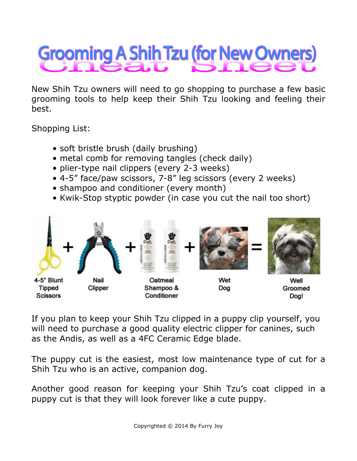## **Grooming A Shih Tzu (for New Owners)**

New Shih Tzu owners will need to go shopping to purchase a few basic grooming tools to help keep their Shih Tzu looking and feeling their best.

Shopping List:

- soft bristle brush (daily brushing)
- metal comb for removing tangles (check daily)
- plier-type nail clippers (every 2-3 weeks)
- 4-5" face/paw scissors, 7-8" leg scissors (every 2 weeks)
- shampoo and conditioner (every month)
- Kwik-Stop styptic powder (in case you cut the nail too short)



If you plan to keep your Shih Tzu clipped in a puppy clip yourself, you will need to purchase a good quality electric clipper for canines, such as the Andis, as well as a 4FC Ceramic Edge blade.

The puppy cut is the easiest, most low maintenance type of cut for a Shih Tzu who is an active, companion dog.

Another good reason for keeping your Shih Tzu's coat clipped in a puppy cut is that they will look forever like a cute puppy.